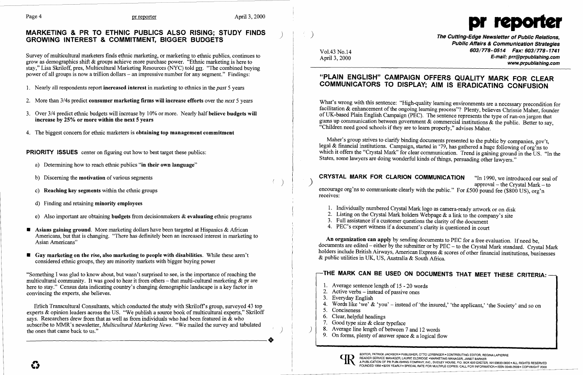**C** 

# $\footnotesize{\begin{array}{cccc} \text{Page 4} & \text{P4} & \text{P5} & \text{P6} & \text{P6} \\ \text{MARKETING & PR TO ETHNIC PUBLICS ALSO RISING; STUDY FINDS & A.} & & & & \\ \text{GROWING INTEREST & COMMITMENT, BIGGER BUDGETS & A.} & & & & \\ \end{array}$

Survey of multicultural marketers finds ethnic marketing, or marketing to ethnic publics, continues to grow as demographics shift & groups achieve more purchase power. "Ethnic marketing is here to stay," Lisa Skriloff, pres, Multicultural Marketing Resources (NYC) told prr. "The combined buying power of all groups is now a trillion dollars - an impressive number for any segment." Findings:

- 1. Nearly all respondents report increased interest in marketing to ethnics in the *past* 5 years
- 2. More than 3/4s predict consumer marketing firms will increase efforts over the *next* 5 years
- 3. Over 3/4 predict ethnic budgets will increase by 10% or more. Nearly half believe budgets will increase by 25% or more within the next 5 years
- 4. The biggest concern for ethnic marketers is obtaining top management commitment

- a) Determining how to reach ethnic publics "in their own language"
- b) Discerning the **motivation** of various segments
- c) Reaching key segments within the ethnic groups
- d) Finding and retaining **minority employees**
- e) Also important are obtaining budgets from decision makers  $\&$  evaluating ethnic programs
- Asians gaining ground. More marketing dollars have been targeted at Hispanics  $\&$  African Americans, but that is changing. "There has definitely been an increased interest in marketing to Asian Americans"
- $\blacksquare$  Gay marketing on the rise, also marketing to people with disabilities. While these aren't considered ethnic groups, they are minority markets with bigger buying power

PRIORITY ISSUES center on figuring out how to best target these publics:

Erlich Transcultural Consultants, which conducted the study with Skriloff's group, surveyed 43 top experts  $\&$  opinion leaders across the US. "We publish a source book of multicultural experts," Skriloff says. Researchers drew from that as well as from individuals who had been featured in & who subscribe to MMR's newsletter, *Multicultural Marketing News.* "We mailed the survey and tabulated the ones that came back to us."

Vol.43 No.14 **603/778-0514 Fax: 603/778-1741** April 3, 2000 E-mail: prr@prpublishing.com www.prpublishing.com

2. Listing on the Crystal Mark holders Webpage & a link to the company's site

Words like 'we'  $\&$  'you' – instead of 'the insured,' 'the applicant,' 'the Society' and so on

What's wrong with this sentence: "High-quality learning environments are a necessary precondition for facilitation & enhancement of the ongoing learning process"? Plenty, believes Chrissie Maher, founder of UK-based Plain English Campaign (PEC). The sentence represents the type of run-on jargon that gums up communication between government  $\&$  commercial institutions  $\&$  the public. Better to say, "Children need good schools if they are to learn properly," advises Maher.

Maher's group strives to clarify binding documents presented to the public by companies, gov't, legal & financial institutions. Campaign, started in '79, has gathered a huge following of org'ns to which it offers the "Crystal Mark" for clear communication. Trend is gaining ground in the US. "In the States, some lawyers are doing wonderful kinds of things, persuading other lawyers."

**CRYSTAL MARK FOR CLARION COMMUNICATION** "In 1990, we introduced our seal of  $\text{approxal} - \text{the Crystal Mark} - \text{to}$ encourage org'ns to communicate clearly with the public." For £500 pound fee (\$800 US), org'n receives:

"Something I was glad to know about, but wasn't surprised to see, is the importance ofreaching the multicultural community. It was good to hear it from others – that multi-cultural marketing  $\&$  pr are here to stay." Census data indicating country's changing demographic landscape is a key factor in convincing the experts, she believes.

- 1. Individually numbered Crystal Mark logo as camera-ready artwork or on disk
- 
- 3. Full assistance if a customer questions the clarity of the document
- 4. PEC's expert witness if a document's clarity is questioned in court

An organization can apply by sending documents to PEC for a free evaluation. If need be, documents are edited – either by the submitter or by PEC – to the Crystal Mark standard. Crystal Mark holders include British Airways, American Express & scores of other financial institutions, businesses & public utilities in UK, US, Australia & South Africa.

- Average sentence length of 15 20 words
- 2. Active verbs  $-$  instead of passive ones
- Everyday English
- 
- Conciseness  $5<sub>1</sub>$
- Clear, helpful headings
- 7. Good type size  $&$  clear typeface
- Average line length of between 7 and 12 words
- 9. On forms, plenty of answer space  $\&$  a logical flow



## "PLAIN ENGLISH" CAMPAIGN OFFERS QUALITY MARK FOR CLEAR COMMUNICATORS TO DISPLAY; AIM IS ERADICATING CONFUSION

## THE MARK CAN BE USED ON DOCUMENTS THAT MEET THESE CRITERIA: